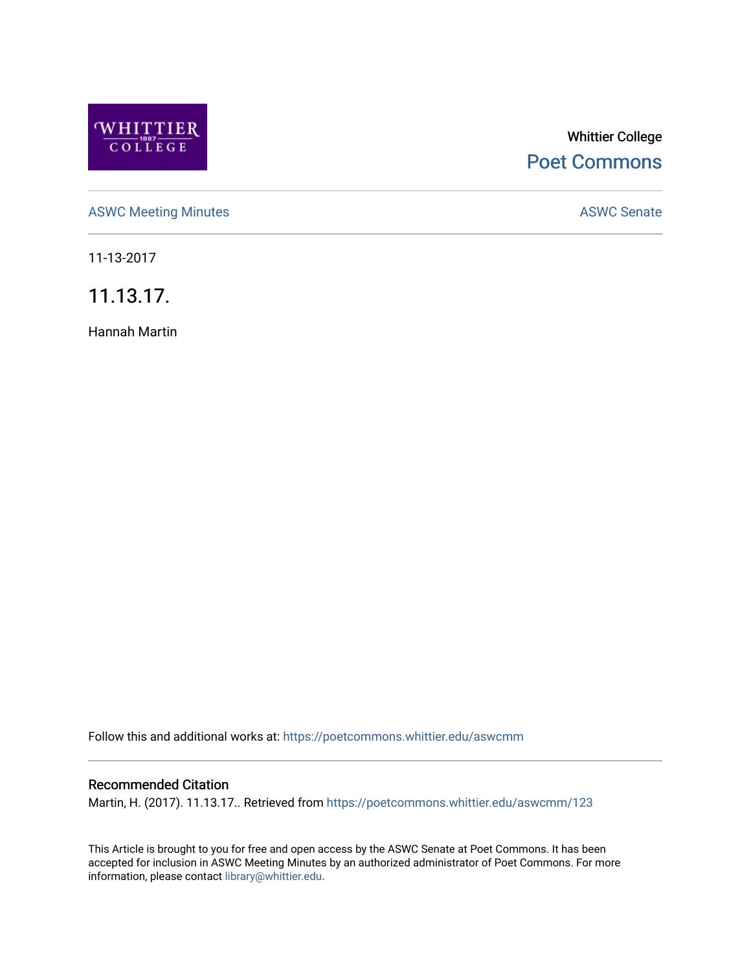

# Whittier College [Poet Commons](https://poetcommons.whittier.edu/)

[ASWC Meeting Minutes](https://poetcommons.whittier.edu/aswcmm) **ASWC Senate** 

11-13-2017

11.13.17.

Hannah Martin

Follow this and additional works at: [https://poetcommons.whittier.edu/aswcmm](https://poetcommons.whittier.edu/aswcmm?utm_source=poetcommons.whittier.edu%2Faswcmm%2F123&utm_medium=PDF&utm_campaign=PDFCoverPages)

#### Recommended Citation

Martin, H. (2017). 11.13.17.. Retrieved from [https://poetcommons.whittier.edu/aswcmm/123](https://poetcommons.whittier.edu/aswcmm/123?utm_source=poetcommons.whittier.edu%2Faswcmm%2F123&utm_medium=PDF&utm_campaign=PDFCoverPages) 

This Article is brought to you for free and open access by the ASWC Senate at Poet Commons. It has been accepted for inclusion in ASWC Meeting Minutes by an authorized administrator of Poet Commons. For more information, please contact [library@whittier.edu.](mailto:library@whittier.edu)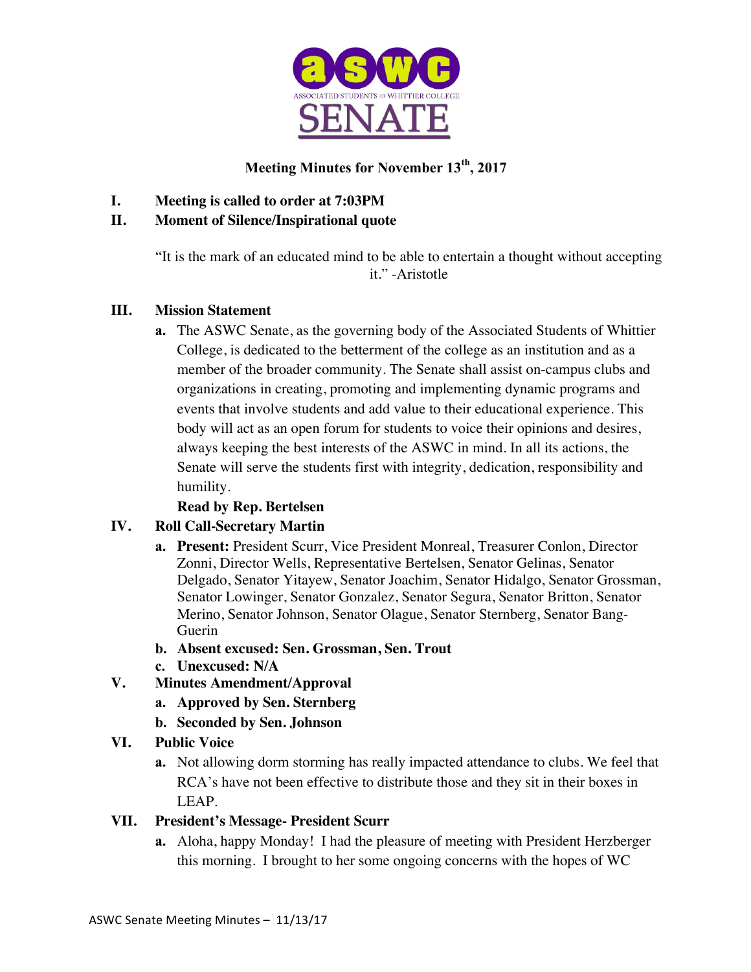

## **Meeting Minutes for November 13th, 2017**

**I. Meeting is called to order at 7:03PM**

#### **II. Moment of Silence/Inspirational quote**

"It is the mark of an educated mind to be able to entertain a thought without accepting it." -Aristotle

#### **III. Mission Statement**

**a.** The ASWC Senate, as the governing body of the Associated Students of Whittier College, is dedicated to the betterment of the college as an institution and as a member of the broader community. The Senate shall assist on-campus clubs and organizations in creating, promoting and implementing dynamic programs and events that involve students and add value to their educational experience. This body will act as an open forum for students to voice their opinions and desires, always keeping the best interests of the ASWC in mind. In all its actions, the Senate will serve the students first with integrity, dedication, responsibility and humility.

## **Read by Rep. Bertelsen**

#### **IV. Roll Call-Secretary Martin**

- **a. Present:** President Scurr, Vice President Monreal, Treasurer Conlon, Director Zonni, Director Wells, Representative Bertelsen, Senator Gelinas, Senator Delgado, Senator Yitayew, Senator Joachim, Senator Hidalgo, Senator Grossman, Senator Lowinger, Senator Gonzalez, Senator Segura, Senator Britton, Senator Merino, Senator Johnson, Senator Olague, Senator Sternberg, Senator Bang-Guerin
- **b. Absent excused: Sen. Grossman, Sen. Trout**
- **c. Unexcused: N/A**
- **V. Minutes Amendment/Approval**
	- **a. Approved by Sen. Sternberg**
	- **b. Seconded by Sen. Johnson**

#### **VI. Public Voice**

**a.** Not allowing dorm storming has really impacted attendance to clubs. We feel that RCA's have not been effective to distribute those and they sit in their boxes in LEAP.

#### **VII. President's Message- President Scurr**

**a.** Aloha, happy Monday! I had the pleasure of meeting with President Herzberger this morning. I brought to her some ongoing concerns with the hopes of WC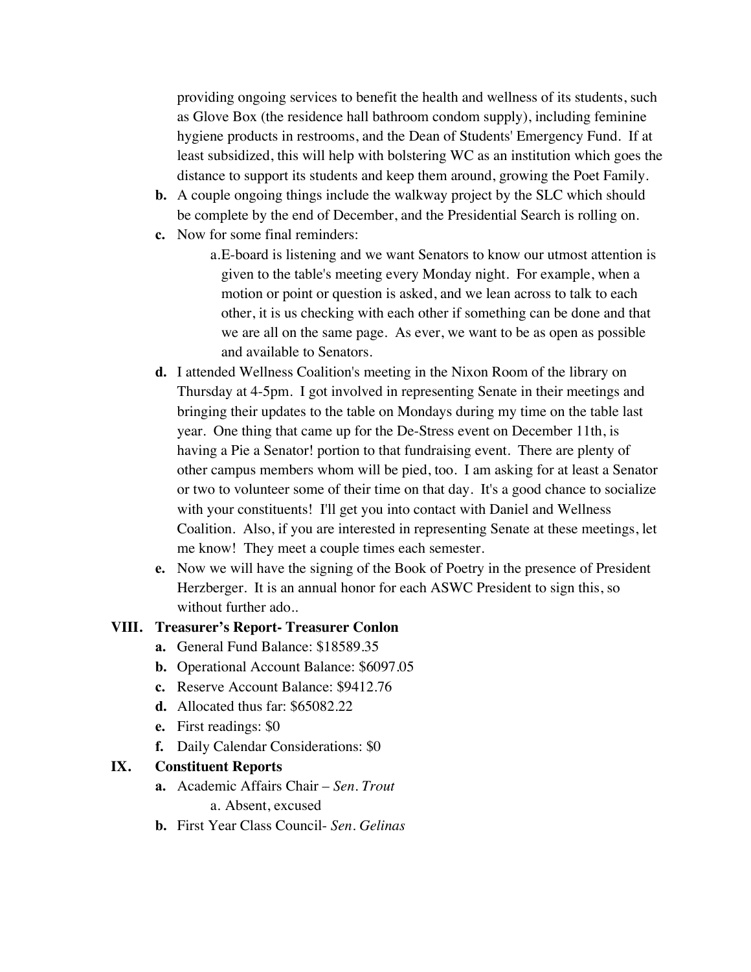providing ongoing services to benefit the health and wellness of its students, such as Glove Box (the residence hall bathroom condom supply), including feminine hygiene products in restrooms, and the Dean of Students' Emergency Fund. If at least subsidized, this will help with bolstering WC as an institution which goes the distance to support its students and keep them around, growing the Poet Family.

- **b.** A couple ongoing things include the walkway project by the SLC which should be complete by the end of December, and the Presidential Search is rolling on.
- **c.** Now for some final reminders:
	- a.E-board is listening and we want Senators to know our utmost attention is given to the table's meeting every Monday night. For example, when a motion or point or question is asked, and we lean across to talk to each other, it is us checking with each other if something can be done and that we are all on the same page. As ever, we want to be as open as possible and available to Senators.
- **d.** I attended Wellness Coalition's meeting in the Nixon Room of the library on Thursday at 4-5pm. I got involved in representing Senate in their meetings and bringing their updates to the table on Mondays during my time on the table last year. One thing that came up for the De-Stress event on December 11th, is having a Pie a Senator! portion to that fundraising event. There are plenty of other campus members whom will be pied, too. I am asking for at least a Senator or two to volunteer some of their time on that day. It's a good chance to socialize with your constituents! I'll get you into contact with Daniel and Wellness Coalition. Also, if you are interested in representing Senate at these meetings, let me know! They meet a couple times each semester.
- **e.** Now we will have the signing of the Book of Poetry in the presence of President Herzberger. It is an annual honor for each ASWC President to sign this, so without further ado..

#### **VIII. Treasurer's Report- Treasurer Conlon**

- **a.** General Fund Balance: \$18589.35
- **b.** Operational Account Balance: \$6097.05
- **c.** Reserve Account Balance: \$9412.76
- **d.** Allocated thus far: \$65082.22
- **e.** First readings: \$0
- **f.** Daily Calendar Considerations: \$0

#### **IX. Constituent Reports**

**a.** Academic Affairs Chair – *Sen. Trout*

a. Absent, excused

**b.** First Year Class Council- *Sen. Gelinas*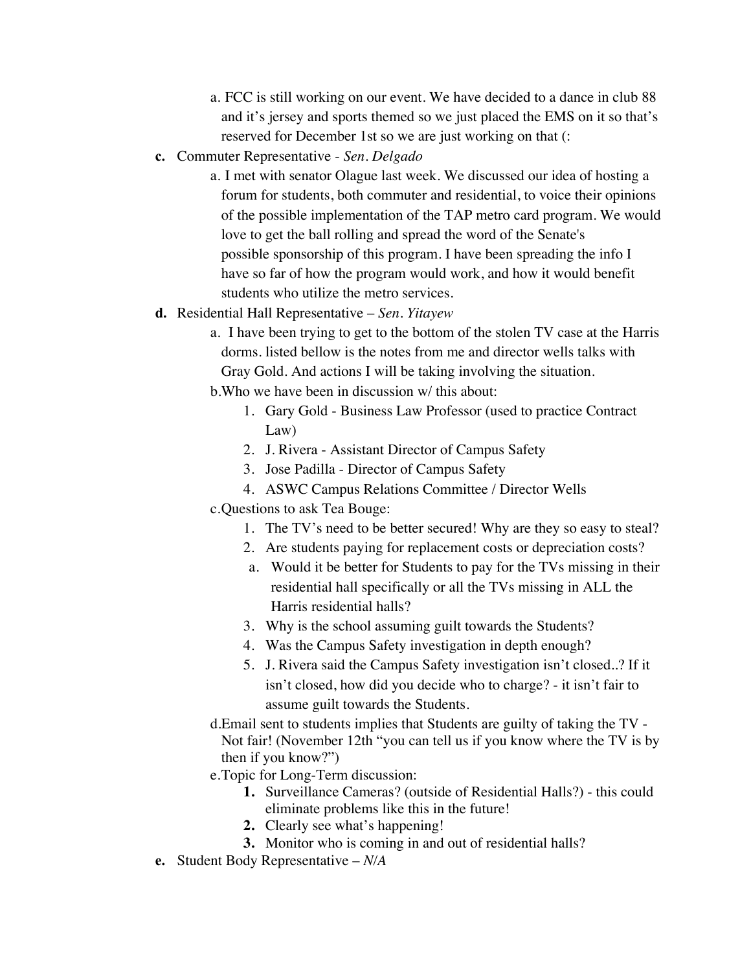- a. FCC is still working on our event. We have decided to a dance in club 88 and it's jersey and sports themed so we just placed the EMS on it so that's reserved for December 1st so we are just working on that (:
- **c.** Commuter Representative *Sen. Delgado*
	- a. I met with senator Olague last week. We discussed our idea of hosting a forum for students, both commuter and residential, to voice their opinions of the possible implementation of the TAP metro card program. We would love to get the ball rolling and spread the word of the Senate's possible sponsorship of this program. I have been spreading the info I have so far of how the program would work, and how it would benefit students who utilize the metro services.
- **d.** Residential Hall Representative *Sen. Yitayew*
	- a.I have been trying to get to the bottom of the stolen TV case at the Harris dorms. listed bellow is the notes from me and director wells talks with Gray Gold. And actions I will be taking involving the situation.
	- b.Who we have been in discussion w/ this about:
		- 1. Gary Gold Business Law Professor (used to practice Contract Law)
		- 2. J. Rivera Assistant Director of Campus Safety
		- 3. Jose Padilla Director of Campus Safety
		- 4. ASWC Campus Relations Committee / Director Wells
	- c.Questions to ask Tea Bouge:
		- 1. The TV's need to be better secured! Why are they so easy to steal?
		- 2. Are students paying for replacement costs or depreciation costs?
		- a. Would it be better for Students to pay for the TVs missing in their residential hall specifically or all the TVs missing in ALL the Harris residential halls?
		- 3. Why is the school assuming guilt towards the Students?
		- 4. Was the Campus Safety investigation in depth enough?
		- 5. J. Rivera said the Campus Safety investigation isn't closed..? If it isn't closed, how did you decide who to charge? - it isn't fair to assume guilt towards the Students.
	- d.Email sent to students implies that Students are guilty of taking the TV Not fair! (November 12th "you can tell us if you know where the TV is by then if you know?")
	- e.Topic for Long-Term discussion:
		- **1.** Surveillance Cameras? (outside of Residential Halls?) this could eliminate problems like this in the future!
		- **2.** Clearly see what's happening!
		- **3.** Monitor who is coming in and out of residential halls?
- **e.** Student Body Representative *N/A*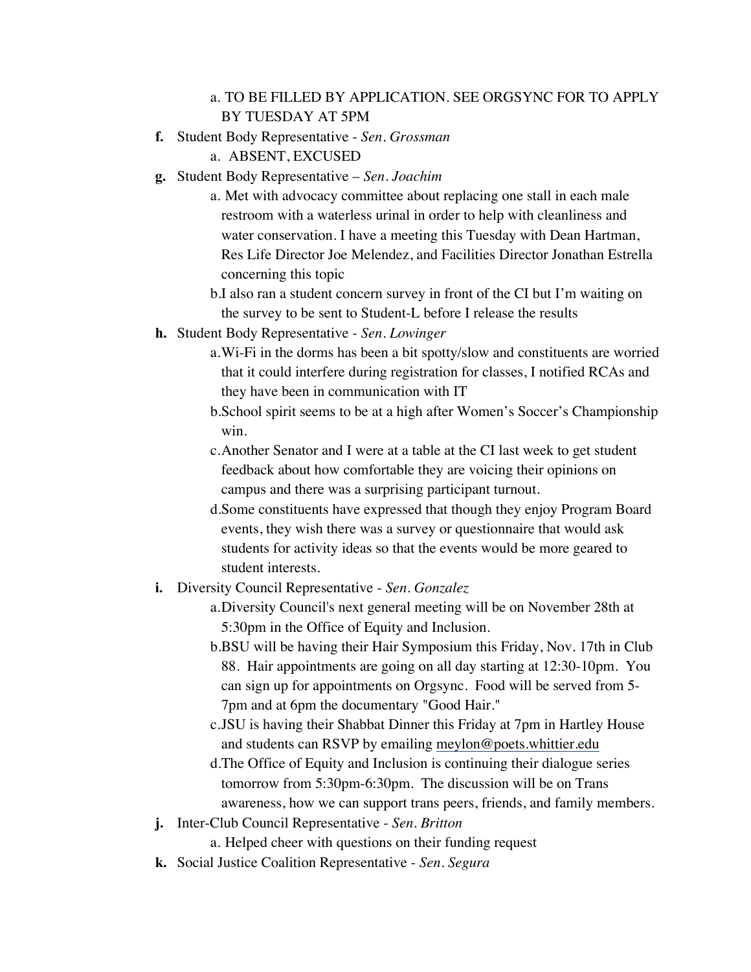#### a. TO BE FILLED BY APPLICATION. SEE ORGSYNC FOR TO APPLY BY TUESDAY AT 5PM

- **f.** Student Body Representative *Sen. Grossman*
	- a. ABSENT, EXCUSED
- **g.** Student Body Representative *Sen. Joachim*
	- a. Met with advocacy committee about replacing one stall in each male restroom with a waterless urinal in order to help with cleanliness and water conservation. I have a meeting this Tuesday with Dean Hartman, Res Life Director Joe Melendez, and Facilities Director Jonathan Estrella concerning this topic
	- b.I also ran a student concern survey in front of the CI but I'm waiting on the survey to be sent to Student-L before I release the results
- **h.** Student Body Representative *Sen. Lowinger*
	- a.Wi-Fi in the dorms has been a bit spotty/slow and constituents are worried that it could interfere during registration for classes, I notified RCAs and they have been in communication with IT
	- b.School spirit seems to be at a high after Women's Soccer's Championship win.
	- c.Another Senator and I were at a table at the CI last week to get student feedback about how comfortable they are voicing their opinions on campus and there was a surprising participant turnout.
	- d.Some constituents have expressed that though they enjoy Program Board events, they wish there was a survey or questionnaire that would ask students for activity ideas so that the events would be more geared to student interests.
- **i.** Diversity Council Representative *Sen. Gonzalez*
	- a.Diversity Council's next general meeting will be on November 28th at 5:30pm in the Office of Equity and Inclusion.
	- b.BSU will be having their Hair Symposium this Friday, Nov. 17th in Club 88. Hair appointments are going on all day starting at 12:30-10pm. You can sign up for appointments on Orgsync. Food will be served from 5- 7pm and at 6pm the documentary "Good Hair."
	- c.JSU is having their Shabbat Dinner this Friday at 7pm in Hartley House and students can RSVP by emailing meylon@poets.whittier.edu
	- d.The Office of Equity and Inclusion is continuing their dialogue series tomorrow from 5:30pm-6:30pm. The discussion will be on Trans awareness, how we can support trans peers, friends, and family members.
- **j.** Inter-Club Council Representative *Sen. Britton*
	- a. Helped cheer with questions on their funding request
- **k.** Social Justice Coalition Representative *Sen. Segura*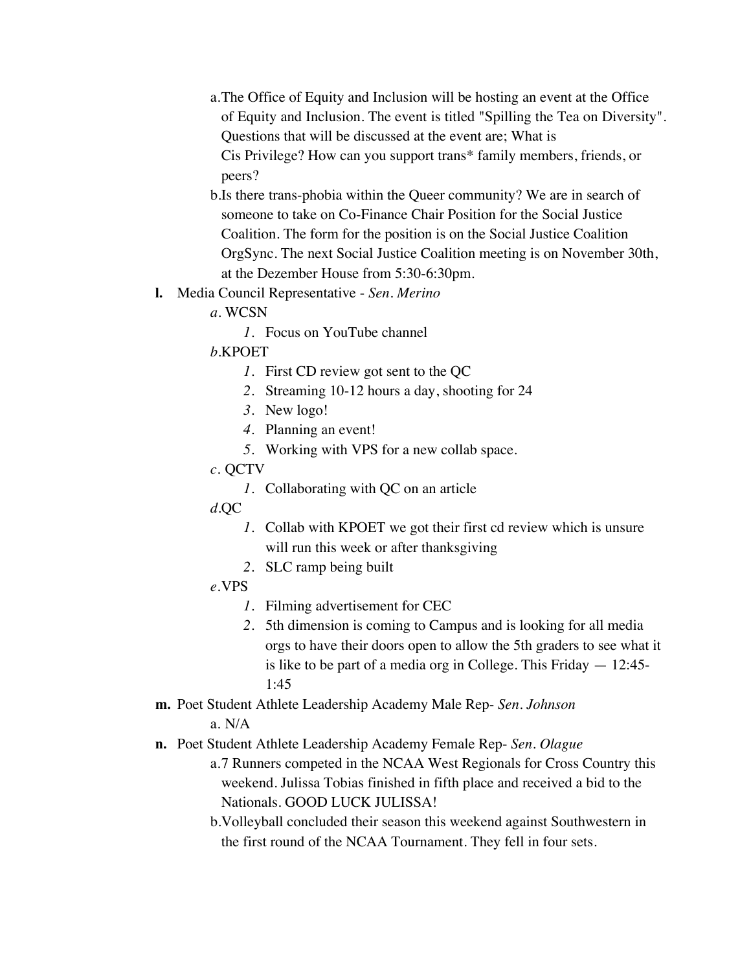- a.The Office of Equity and Inclusion will be hosting an event at the Office of Equity and Inclusion. The event is titled "Spilling the Tea on Diversity". Questions that will be discussed at the event are; What is Cis Privilege? How can you support trans\* family members, friends, or peers?
- b.Is there trans-phobia within the Queer community? We are in search of someone to take on Co-Finance Chair Position for the Social Justice Coalition. The form for the position is on the Social Justice Coalition OrgSync. The next Social Justice Coalition meeting is on November 30th, at the Dezember House from 5:30-6:30pm.
- **l.** Media Council Representative *Sen. Merino*
	- *a.* WCSN
		- *1.* Focus on YouTube channel
	- *b.*KPOET
		- *1.* First CD review got sent to the QC
		- *2.* Streaming 10-12 hours a day, shooting for 24
		- *3.* New logo!
		- *4.* Planning an event!
		- *5.* Working with VPS for a new collab space.
	- *c.* QCTV
		- *1.* Collaborating with QC on an article
	- *d.*QC
		- *1.* Collab with KPOET we got their first cd review which is unsure will run this week or after thanksgiving
		- *2.* SLC ramp being built
	- *e.*VPS
		- *1.* Filming advertisement for CEC
		- *2.* 5th dimension is coming to Campus and is looking for all media orgs to have their doors open to allow the 5th graders to see what it is like to be part of a media org in College. This Friday — 12:45- 1:45
- **m.** Poet Student Athlete Leadership Academy Male Rep- *Sen. Johnson* a. N/A
- **n.** Poet Student Athlete Leadership Academy Female Rep- *Sen. Olague*
	- a.7 Runners competed in the NCAA West Regionals for Cross Country this weekend. Julissa Tobias finished in fifth place and received a bid to the Nationals. GOOD LUCK JULISSA!
	- b.Volleyball concluded their season this weekend against Southwestern in the first round of the NCAA Tournament. They fell in four sets.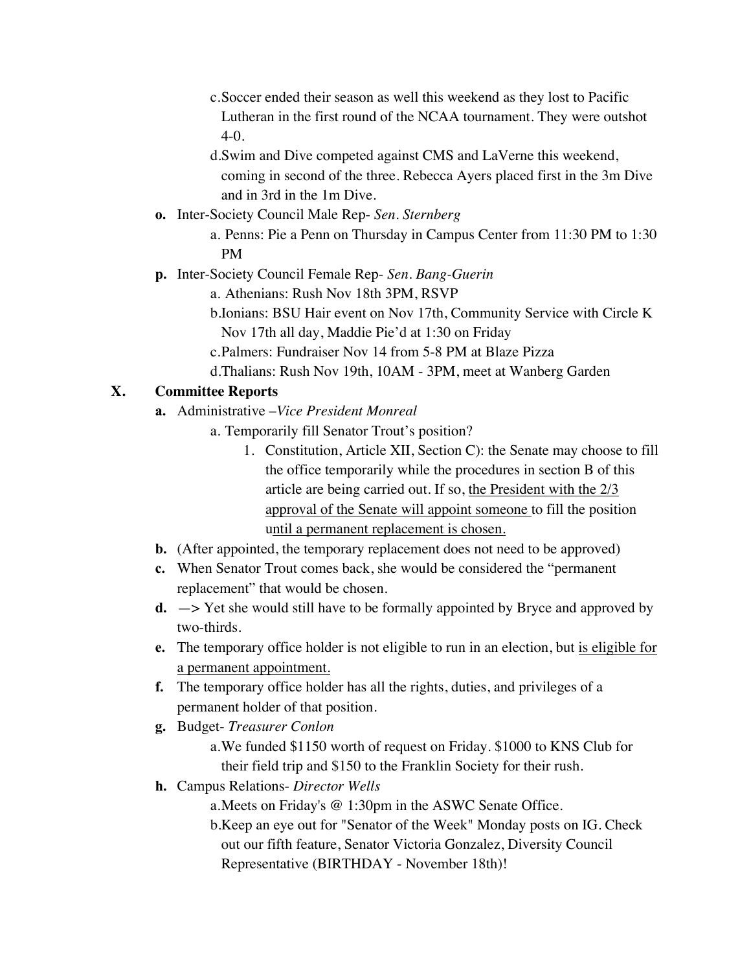- c.Soccer ended their season as well this weekend as they lost to Pacific Lutheran in the first round of the NCAA tournament. They were outshot 4-0.
- d.Swim and Dive competed against CMS and LaVerne this weekend, coming in second of the three. Rebecca Ayers placed first in the 3m Dive and in 3rd in the 1m Dive.
- **o.** Inter-Society Council Male Rep- *Sen. Sternberg*
	- a. Penns: Pie a Penn on Thursday in Campus Center from 11:30 PM to 1:30 PM
- **p.** Inter-Society Council Female Rep- *Sen. Bang-Guerin*
	- a. Athenians: Rush Nov 18th 3PM, RSVP
	- b.Ionians: BSU Hair event on Nov 17th, Community Service with Circle K Nov 17th all day, Maddie Pie'd at 1:30 on Friday
	- c.Palmers: Fundraiser Nov 14 from 5-8 PM at Blaze Pizza
	- d.Thalians: Rush Nov 19th, 10AM 3PM, meet at Wanberg Garden

#### **X. Committee Reports**

- **a.** Administrative –*Vice President Monreal*
	- a. Temporarily fill Senator Trout's position?
		- 1. Constitution, Article XII, Section C): the Senate may choose to fill the office temporarily while the procedures in section B of this article are being carried out. If so, the President with the 2/3 approval of the Senate will appoint someone to fill the position until a permanent replacement is chosen.
- **b.** (After appointed, the temporary replacement does not need to be approved)
- **c.** When Senator Trout comes back, she would be considered the "permanent replacement" that would be chosen.
- **d.** —> Yet she would still have to be formally appointed by Bryce and approved by two-thirds.
- **e.** The temporary office holder is not eligible to run in an election, but is eligible for a permanent appointment.
- **f.** The temporary office holder has all the rights, duties, and privileges of a permanent holder of that position.
- **g.** Budget- *Treasurer Conlon*
	- a.We funded \$1150 worth of request on Friday. \$1000 to KNS Club for their field trip and \$150 to the Franklin Society for their rush.
- **h.** Campus Relations- *Director Wells*

a.Meets on Friday's @ 1:30pm in the ASWC Senate Office.

b.Keep an eye out for "Senator of the Week" Monday posts on IG. Check out our fifth feature, Senator Victoria Gonzalez, Diversity Council Representative (BIRTHDAY - November 18th)!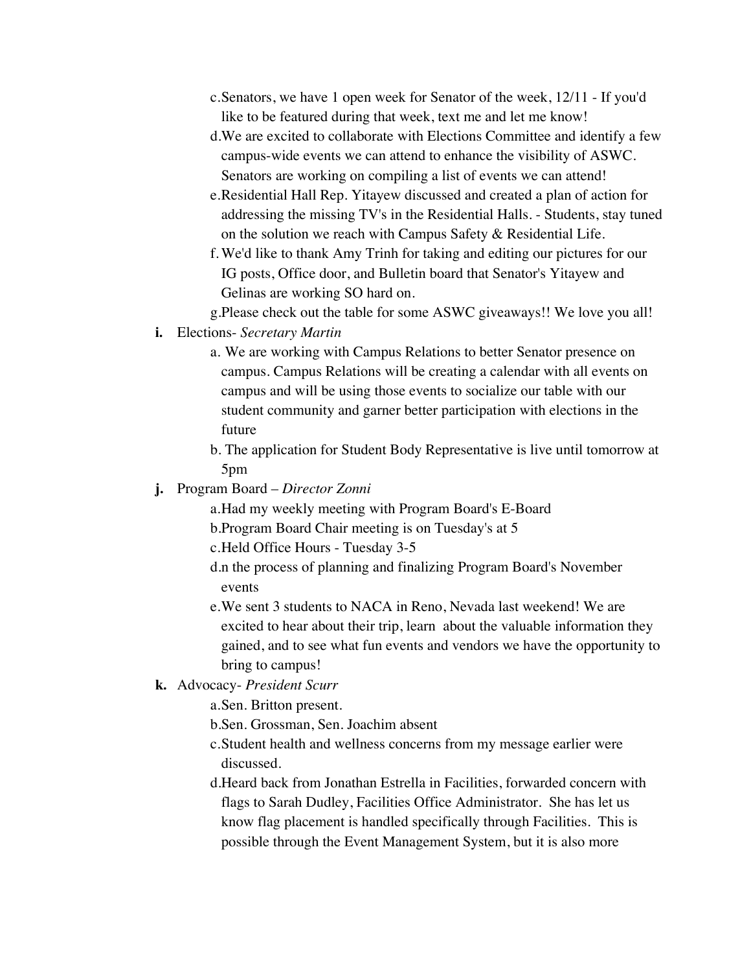- c.Senators, we have 1 open week for Senator of the week, 12/11 If you'd like to be featured during that week, text me and let me know!
- d.We are excited to collaborate with Elections Committee and identify a few campus-wide events we can attend to enhance the visibility of ASWC. Senators are working on compiling a list of events we can attend!
- e.Residential Hall Rep. Yitayew discussed and created a plan of action for addressing the missing TV's in the Residential Halls. - Students, stay tuned on the solution we reach with Campus Safety & Residential Life.
- f. We'd like to thank Amy Trinh for taking and editing our pictures for our IG posts, Office door, and Bulletin board that Senator's Yitayew and Gelinas are working SO hard on.
- g.Please check out the table for some ASWC giveaways!! We love you all!
- **i.** Elections- *Secretary Martin*
	- a. We are working with Campus Relations to better Senator presence on campus. Campus Relations will be creating a calendar with all events on campus and will be using those events to socialize our table with our student community and garner better participation with elections in the future
	- b. The application for Student Body Representative is live until tomorrow at 5pm
- **j.** Program Board *Director Zonni*
	- a.Had my weekly meeting with Program Board's E-Board
	- b.Program Board Chair meeting is on Tuesday's at 5
	- c.Held Office Hours Tuesday 3-5
	- d.n the process of planning and finalizing Program Board's November events
	- e.We sent 3 students to NACA in Reno, Nevada last weekend! We are excited to hear about their trip, learn about the valuable information they gained, and to see what fun events and vendors we have the opportunity to bring to campus!
- **k.** Advocacy- *President Scurr*
	- a.Sen. Britton present.
	- b.Sen. Grossman, Sen. Joachim absent
	- c.Student health and wellness concerns from my message earlier were discussed.
	- d.Heard back from Jonathan Estrella in Facilities, forwarded concern with flags to Sarah Dudley, Facilities Office Administrator. She has let us know flag placement is handled specifically through Facilities. This is possible through the Event Management System, but it is also more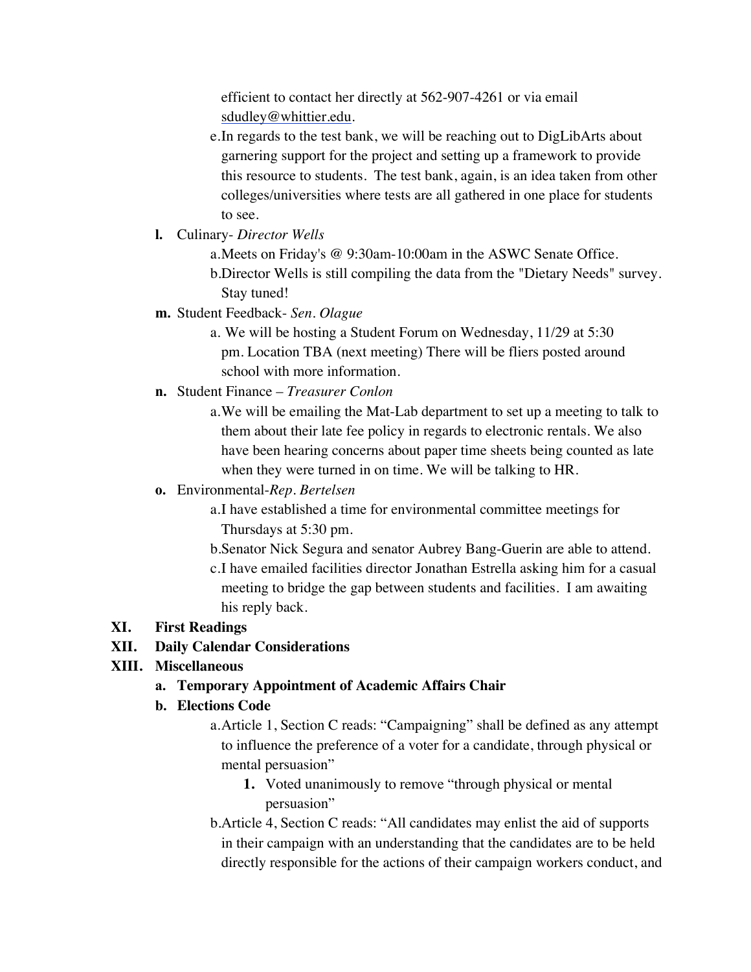efficient to contact her directly at 562-907-4261 or via email sdudley@whittier.edu.

- e.In regards to the test bank, we will be reaching out to DigLibArts about garnering support for the project and setting up a framework to provide this resource to students. The test bank, again, is an idea taken from other colleges/universities where tests are all gathered in one place for students to see.
- **l.** Culinary- *Director Wells*
	- a.Meets on Friday's @ 9:30am-10:00am in the ASWC Senate Office. b.Director Wells is still compiling the data from the "Dietary Needs" survey. Stay tuned!
- **m.** Student Feedback- *Sen. Olague* 
	- a. We will be hosting a Student Forum on Wednesday, 11/29 at 5:30 pm. Location TBA (next meeting) There will be fliers posted around school with more information.
- **n.** Student Finance *Treasurer Conlon*
	- a.We will be emailing the Mat-Lab department to set up a meeting to talk to them about their late fee policy in regards to electronic rentals. We also have been hearing concerns about paper time sheets being counted as late when they were turned in on time. We will be talking to HR.

## **o.** Environmental-*Rep. Bertelsen*

- a.I have established a time for environmental committee meetings for Thursdays at 5:30 pm.
- b.Senator Nick Segura and senator Aubrey Bang-Guerin are able to attend.
- c.I have emailed facilities director Jonathan Estrella asking him for a casual meeting to bridge the gap between students and facilities. I am awaiting his reply back.

## **XI. First Readings**

## **XII. Daily Calendar Considerations**

## **XIII. Miscellaneous**

**a. Temporary Appointment of Academic Affairs Chair**

## **b. Elections Code**

- a.Article 1, Section C reads: "Campaigning" shall be defined as any attempt to influence the preference of a voter for a candidate, through physical or mental persuasion"
	- **1.** Voted unanimously to remove "through physical or mental persuasion"
- b.Article 4, Section C reads: "All candidates may enlist the aid of supports in their campaign with an understanding that the candidates are to be held directly responsible for the actions of their campaign workers conduct, and